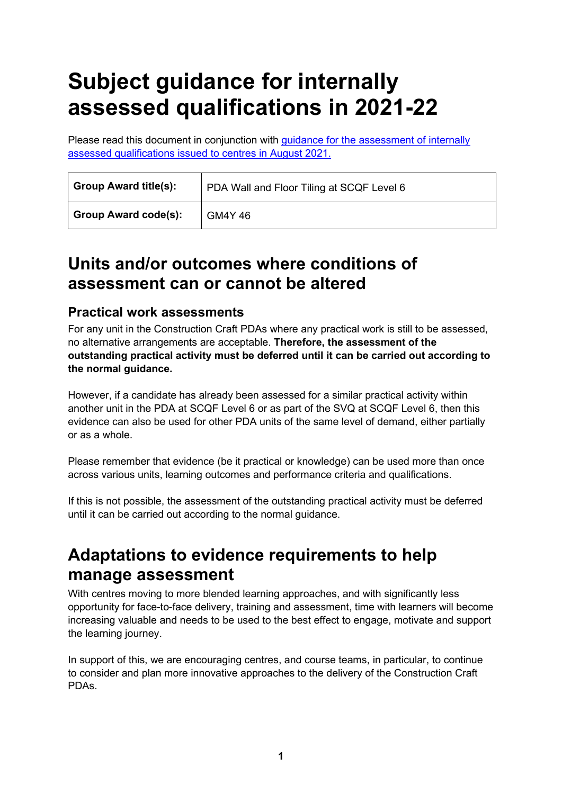# **Subject guidance for internally assessed qualifications in 2021-22**

Please read this document in conjunction with [guidance for the assessment of internally](https://www.sqa.org.uk/sqa/95044.html)  [assessed qualifications issued to centres in August 2021.](https://www.sqa.org.uk/sqa/95044.html)

| <b>Group Award title(s):</b> | PDA Wall and Floor Tiling at SCQF Level 6 |
|------------------------------|-------------------------------------------|
| <b>Group Award code(s):</b>  | <b>GM4Y46</b>                             |

### **Units and/or outcomes where conditions of assessment can or cannot be altered**

#### **Practical work assessments**

For any unit in the Construction Craft PDAs where any practical work is still to be assessed, no alternative arrangements are acceptable. **Therefore, the assessment of the outstanding practical activity must be deferred until it can be carried out according to the normal guidance.**

However, if a candidate has already been assessed for a similar practical activity within another unit in the PDA at SCQF Level 6 or as part of the SVQ at SCQF Level 6, then this evidence can also be used for other PDA units of the same level of demand, either partially or as a whole.

Please remember that evidence (be it practical or knowledge) can be used more than once across various units, learning outcomes and performance criteria and qualifications.

If this is not possible, the assessment of the outstanding practical activity must be deferred until it can be carried out according to the normal guidance.

# **Adaptations to evidence requirements to help manage assessment**

With centres moving to more blended learning approaches, and with significantly less opportunity for face-to-face delivery, training and assessment, time with learners will become increasing valuable and needs to be used to the best effect to engage, motivate and support the learning journey.

In support of this, we are encouraging centres, and course teams, in particular, to continue to consider and plan more innovative approaches to the delivery of the Construction Craft PDAs.